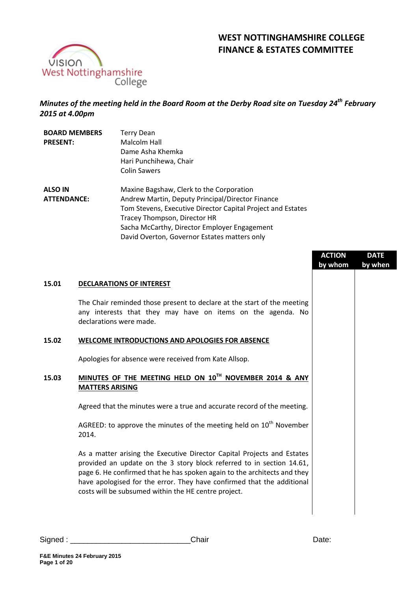

# **WEST NOTTINGHAMSHIRE COLLEGE FINANCE & ESTATES COMMITTEE**

# *Minutes of the meeting held in the Board Room at the Derby Road site on Tuesday 24th February 2015 at 4.00pm*

| <b>BOARD MEMBERS</b> | <b>Terry Dean</b>                                           |
|----------------------|-------------------------------------------------------------|
| <b>PRESENT:</b>      | Malcolm Hall                                                |
|                      | Dame Asha Khemka                                            |
|                      | Hari Punchihewa, Chair                                      |
|                      | <b>Colin Sawers</b>                                         |
| <b>ALSO IN</b>       | Maxine Bagshaw, Clerk to the Corporation                    |
| <b>ATTENDANCE:</b>   | Andrew Martin, Deputy Principal/Director Finance            |
|                      | Tom Stevens, Executive Director Capital Project and Estates |
|                      | Tracey Thompson, Director HR                                |
|                      | Sacha McCarthy, Director Employer Engagement                |
|                      | David Overton, Governor Estates matters only                |

|                                                                                                                                                                                                                                                                                                                                                                | <b>ACTION</b><br>by whom | <b>DATE</b><br>by when |
|----------------------------------------------------------------------------------------------------------------------------------------------------------------------------------------------------------------------------------------------------------------------------------------------------------------------------------------------------------------|--------------------------|------------------------|
| <b>DECLARATIONS OF INTEREST</b>                                                                                                                                                                                                                                                                                                                                |                          |                        |
| The Chair reminded those present to declare at the start of the meeting<br>any interests that they may have on items on the agenda. No<br>declarations were made.                                                                                                                                                                                              |                          |                        |
| <b>WELCOME INTRODUCTIONS AND APOLOGIES FOR ABSENCE</b>                                                                                                                                                                                                                                                                                                         |                          |                        |
| Apologies for absence were received from Kate Allsop.                                                                                                                                                                                                                                                                                                          |                          |                        |
| MINUTES OF THE MEETING HELD ON 10TH NOVEMBER 2014 & ANY<br><b>MATTERS ARISING</b>                                                                                                                                                                                                                                                                              |                          |                        |
| Agreed that the minutes were a true and accurate record of the meeting.                                                                                                                                                                                                                                                                                        |                          |                        |
| AGREED: to approve the minutes of the meeting held on $10th$ November<br>2014.                                                                                                                                                                                                                                                                                 |                          |                        |
| As a matter arising the Executive Director Capital Projects and Estates<br>provided an update on the 3 story block referred to in section 14.61,<br>page 6. He confirmed that he has spoken again to the architects and they<br>have apologised for the error. They have confirmed that the additional<br>costs will be subsumed within the HE centre project. |                          |                        |
|                                                                                                                                                                                                                                                                                                                                                                |                          |                        |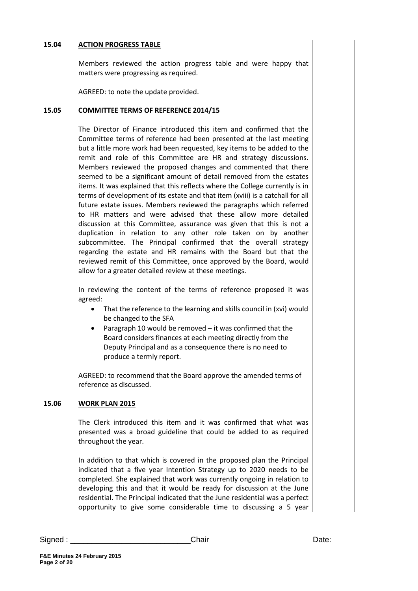### **15.04 ACTION PROGRESS TABLE**

Members reviewed the action progress table and were happy that matters were progressing as required.

AGREED: to note the update provided.

### **15.05 COMMITTEE TERMS OF REFERENCE 2014/15**

The Director of Finance introduced this item and confirmed that the Committee terms of reference had been presented at the last meeting but a little more work had been requested, key items to be added to the remit and role of this Committee are HR and strategy discussions. Members reviewed the proposed changes and commented that there seemed to be a significant amount of detail removed from the estates items. It was explained that this reflects where the College currently is in terms of development of its estate and that item (xviii) is a catchall for all future estate issues. Members reviewed the paragraphs which referred to HR matters and were advised that these allow more detailed discussion at this Committee, assurance was given that this is not a duplication in relation to any other role taken on by another subcommittee. The Principal confirmed that the overall strategy regarding the estate and HR remains with the Board but that the reviewed remit of this Committee, once approved by the Board, would allow for a greater detailed review at these meetings.

In reviewing the content of the terms of reference proposed it was agreed:

- That the reference to the learning and skills council in (xvi) would be changed to the SFA
- Paragraph 10 would be removed it was confirmed that the Board considers finances at each meeting directly from the Deputy Principal and as a consequence there is no need to produce a termly report.

AGREED: to recommend that the Board approve the amended terms of reference as discussed.

# **15.06 WORK PLAN 2015**

The Clerk introduced this item and it was confirmed that what was presented was a broad guideline that could be added to as required throughout the year.

In addition to that which is covered in the proposed plan the Principal indicated that a five year Intention Strategy up to 2020 needs to be completed. She explained that work was currently ongoing in relation to developing this and that it would be ready for discussion at the June residential. The Principal indicated that the June residential was a perfect opportunity to give some considerable time to discussing a 5 year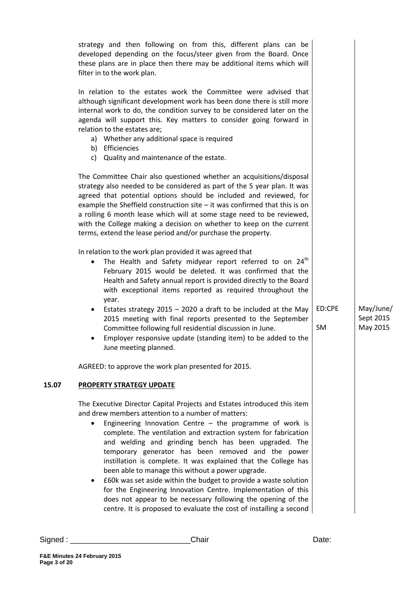|       | strategy and then following on from this, different plans can be<br>developed depending on the focus/steer given from the Board. Once<br>these plans are in place then there may be additional items which will<br>filter in to the work plan.<br>In relation to the estates work the Committee were advised that                                                                                                                                                                                                                                                                                                                                                                                                                                                                              |        |                       |
|-------|------------------------------------------------------------------------------------------------------------------------------------------------------------------------------------------------------------------------------------------------------------------------------------------------------------------------------------------------------------------------------------------------------------------------------------------------------------------------------------------------------------------------------------------------------------------------------------------------------------------------------------------------------------------------------------------------------------------------------------------------------------------------------------------------|--------|-----------------------|
|       | although significant development work has been done there is still more<br>internal work to do, the condition survey to be considered later on the<br>agenda will support this. Key matters to consider going forward in<br>relation to the estates are;<br>a) Whether any additional space is required<br>b) Efficiencies<br>c) Quality and maintenance of the estate.                                                                                                                                                                                                                                                                                                                                                                                                                        |        |                       |
|       | The Committee Chair also questioned whether an acquisitions/disposal<br>strategy also needed to be considered as part of the 5 year plan. It was<br>agreed that potential options should be included and reviewed, for<br>example the Sheffield construction site $-$ it was confirmed that this is on<br>a rolling 6 month lease which will at some stage need to be reviewed,<br>with the College making a decision on whether to keep on the current<br>terms, extend the lease period and/or purchase the property.                                                                                                                                                                                                                                                                        |        |                       |
|       | In relation to the work plan provided it was agreed that<br>The Health and Safety midyear report referred to on 24 <sup>th</sup><br>٠<br>February 2015 would be deleted. It was confirmed that the<br>Health and Safety annual report is provided directly to the Board<br>with exceptional items reported as required throughout the<br>year.<br>Estates strategy $2015 - 2020$ a draft to be included at the May<br>٠                                                                                                                                                                                                                                                                                                                                                                        | ED:CPE | May/June/             |
|       | 2015 meeting with final reports presented to the September<br>Committee following full residential discussion in June.<br>Employer responsive update (standing item) to be added to the<br>June meeting planned.                                                                                                                                                                                                                                                                                                                                                                                                                                                                                                                                                                               | SM     | Sept 2015<br>May 2015 |
|       | AGREED: to approve the work plan presented for 2015.                                                                                                                                                                                                                                                                                                                                                                                                                                                                                                                                                                                                                                                                                                                                           |        |                       |
| 15.07 | <b>PROPERTY STRATEGY UPDATE</b>                                                                                                                                                                                                                                                                                                                                                                                                                                                                                                                                                                                                                                                                                                                                                                |        |                       |
|       | The Executive Director Capital Projects and Estates introduced this item<br>and drew members attention to a number of matters:<br>Engineering Innovation Centre $-$ the programme of work is<br>complete. The ventilation and extraction system for fabrication<br>and welding and grinding bench has been upgraded. The<br>temporary generator has been removed and the power<br>instillation is complete. It was explained that the College has<br>been able to manage this without a power upgrade.<br>£60k was set aside within the budget to provide a waste solution<br>$\bullet$<br>for the Engineering Innovation Centre. Implementation of this<br>does not appear to be necessary following the opening of the<br>centre. It is proposed to evaluate the cost of installing a second |        |                       |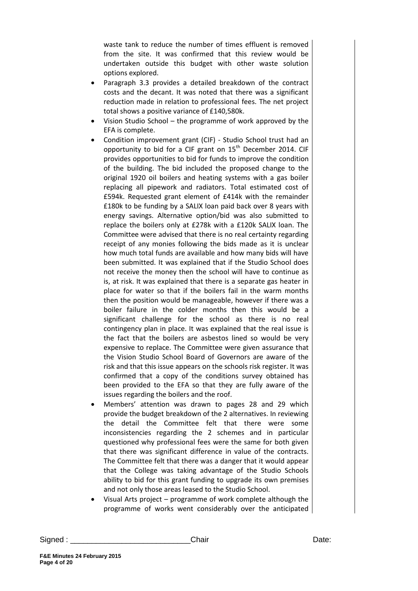waste tank to reduce the number of times effluent is removed from the site. It was confirmed that this review would be undertaken outside this budget with other waste solution options explored.

- Paragraph 3.3 provides a detailed breakdown of the contract costs and the decant. It was noted that there was a significant reduction made in relation to professional fees. The net project total shows a positive variance of £140,580k.
- Vision Studio School the programme of work approved by the EFA is complete.
- Condition improvement grant (CIF) Studio School trust had an opportunity to bid for a CIF grant on 15<sup>th</sup> December 2014. CIF provides opportunities to bid for funds to improve the condition of the building. The bid included the proposed change to the original 1920 oil boilers and heating systems with a gas boiler replacing all pipework and radiators. Total estimated cost of £594k. Requested grant element of £414k with the remainder £180k to be funding by a SALIX loan paid back over 8 years with energy savings. Alternative option/bid was also submitted to replace the boilers only at £278k with a £120k SALIX loan. The Committee were advised that there is no real certainty regarding receipt of any monies following the bids made as it is unclear how much total funds are available and how many bids will have been submitted. It was explained that if the Studio School does not receive the money then the school will have to continue as is, at risk. It was explained that there is a separate gas heater in place for water so that if the boilers fail in the warm months then the position would be manageable, however if there was a boiler failure in the colder months then this would be a significant challenge for the school as there is no real contingency plan in place. It was explained that the real issue is the fact that the boilers are asbestos lined so would be very expensive to replace. The Committee were given assurance that the Vision Studio School Board of Governors are aware of the risk and that this issue appears on the schools risk register. It was confirmed that a copy of the conditions survey obtained has been provided to the EFA so that they are fully aware of the issues regarding the boilers and the roof.
- Members' attention was drawn to pages 28 and 29 which provide the budget breakdown of the 2 alternatives. In reviewing the detail the Committee felt that there were some inconsistencies regarding the 2 schemes and in particular questioned why professional fees were the same for both given that there was significant difference in value of the contracts. The Committee felt that there was a danger that it would appear that the College was taking advantage of the Studio Schools ability to bid for this grant funding to upgrade its own premises and not only those areas leased to the Studio School.
- Visual Arts project programme of work complete although the programme of works went considerably over the anticipated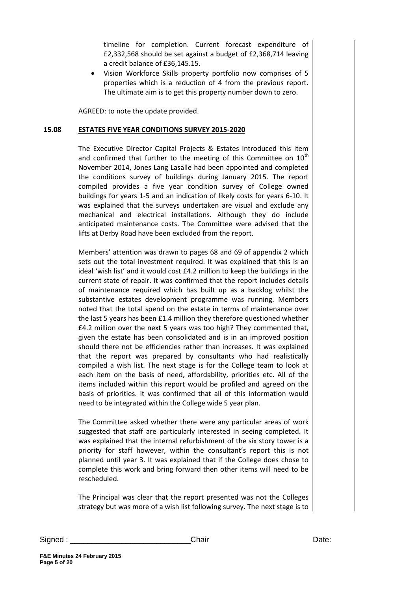timeline for completion. Current forecast expenditure of £2,332,568 should be set against a budget of £2,368,714 leaving a credit balance of £36,145.15.

 Vision Workforce Skills property portfolio now comprises of 5 properties which is a reduction of 4 from the previous report. The ultimate aim is to get this property number down to zero.

AGREED: to note the update provided.

### **15.08 ESTATES FIVE YEAR CONDITIONS SURVEY 2015-2020**

The Executive Director Capital Projects & Estates introduced this item and confirmed that further to the meeting of this Committee on  $10<sup>th</sup>$ November 2014, Jones Lang Lasalle had been appointed and completed the conditions survey of buildings during January 2015. The report compiled provides a five year condition survey of College owned buildings for years 1-5 and an indication of likely costs for years 6-10. It was explained that the surveys undertaken are visual and exclude any mechanical and electrical installations. Although they do include anticipated maintenance costs. The Committee were advised that the lifts at Derby Road have been excluded from the report.

Members' attention was drawn to pages 68 and 69 of appendix 2 which sets out the total investment required. It was explained that this is an ideal 'wish list' and it would cost £4.2 million to keep the buildings in the current state of repair. It was confirmed that the report includes details of maintenance required which has built up as a backlog whilst the substantive estates development programme was running. Members noted that the total spend on the estate in terms of maintenance over the last 5 years has been £1.4 million they therefore questioned whether £4.2 million over the next 5 years was too high? They commented that, given the estate has been consolidated and is in an improved position should there not be efficiencies rather than increases. It was explained that the report was prepared by consultants who had realistically compiled a wish list. The next stage is for the College team to look at each item on the basis of need, affordability, priorities etc. All of the items included within this report would be profiled and agreed on the basis of priorities. It was confirmed that all of this information would need to be integrated within the College wide 5 year plan.

The Committee asked whether there were any particular areas of work suggested that staff are particularly interested in seeing completed. It was explained that the internal refurbishment of the six story tower is a priority for staff however, within the consultant's report this is not planned until year 3. It was explained that if the College does chose to complete this work and bring forward then other items will need to be rescheduled.

The Principal was clear that the report presented was not the Colleges strategy but was more of a wish list following survey. The next stage is to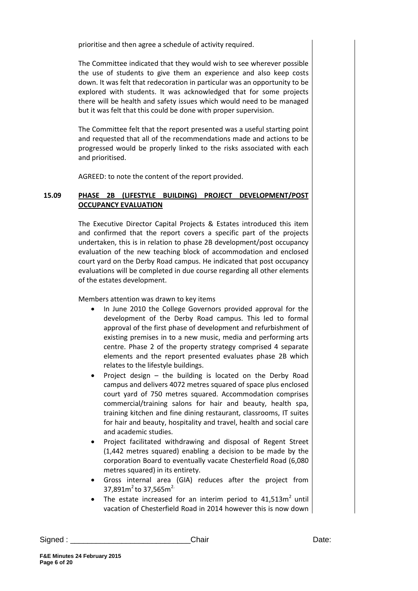prioritise and then agree a schedule of activity required.

The Committee indicated that they would wish to see wherever possible the use of students to give them an experience and also keep costs down. It was felt that redecoration in particular was an opportunity to be explored with students. It was acknowledged that for some projects there will be health and safety issues which would need to be managed but it was felt that this could be done with proper supervision.

The Committee felt that the report presented was a useful starting point and requested that all of the recommendations made and actions to be progressed would be properly linked to the risks associated with each and prioritised.

AGREED: to note the content of the report provided.

# **15.09 PHASE 2B (LIFESTYLE BUILDING) PROJECT DEVELOPMENT/POST OCCUPANCY EVALUATION**

The Executive Director Capital Projects & Estates introduced this item and confirmed that the report covers a specific part of the projects undertaken, this is in relation to phase 2B development/post occupancy evaluation of the new teaching block of accommodation and enclosed court yard on the Derby Road campus. He indicated that post occupancy evaluations will be completed in due course regarding all other elements of the estates development.

Members attention was drawn to key items

- In June 2010 the College Governors provided approval for the development of the Derby Road campus. This led to formal approval of the first phase of development and refurbishment of existing premises in to a new music, media and performing arts centre. Phase 2 of the property strategy comprised 4 separate elements and the report presented evaluates phase 2B which relates to the lifestyle buildings.
- Project design the building is located on the Derby Road campus and delivers 4072 metres squared of space plus enclosed court yard of 750 metres squared. Accommodation comprises commercial/training salons for hair and beauty, health spa, training kitchen and fine dining restaurant, classrooms, IT suites for hair and beauty, hospitality and travel, health and social care and academic studies.
- Project facilitated withdrawing and disposal of Regent Street (1,442 metres squared) enabling a decision to be made by the corporation Board to eventually vacate Chesterfield Road (6,080 metres squared) in its entirety.
- Gross internal area (GIA) reduces after the project from 37,891 $m^2$  to 37,565 $m^2$ .
- The estate increased for an interim period to  $41,513m^2$  until vacation of Chesterfield Road in 2014 however this is now down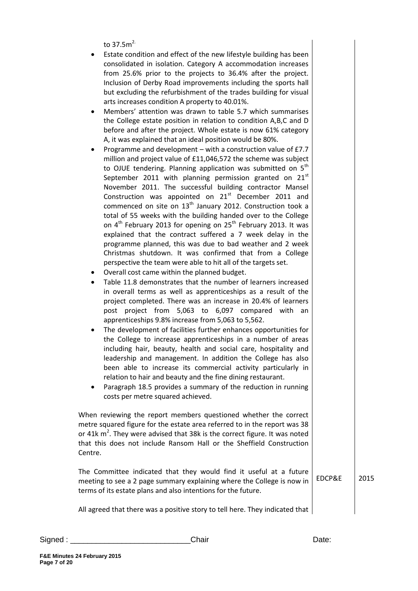to 37.5 $m^2$ 

- Estate condition and effect of the new lifestyle building has been consolidated in isolation. Category A accommodation increases from 25.6% prior to the projects to 36.4% after the project. Inclusion of Derby Road improvements including the sports hall but excluding the refurbishment of the trades building for visual arts increases condition A property to 40.01%.
- Members' attention was drawn to table 5.7 which summarises the College estate position in relation to condition A,B,C and D before and after the project. Whole estate is now 61% category A, it was explained that an ideal position would be 80%.
- Programme and development with a construction value of £7.7 million and project value of £11,046,572 the scheme was subject to OJUE tendering. Planning application was submitted on  $5<sup>th</sup>$ September 2011 with planning permission granted on  $21<sup>st</sup>$ November 2011. The successful building contractor Mansel Construction was appointed on  $21<sup>st</sup>$  December 2011 and commenced on site on  $13<sup>th</sup>$  January 2012. Construction took a total of 55 weeks with the building handed over to the College on  $4^{th}$  February 2013 for opening on  $25^{th}$  February 2013. It was explained that the contract suffered a 7 week delay in the programme planned, this was due to bad weather and 2 week Christmas shutdown. It was confirmed that from a College perspective the team were able to hit all of the targets set.
- Overall cost came within the planned budget.
- Table 11.8 demonstrates that the number of learners increased in overall terms as well as apprenticeships as a result of the project completed. There was an increase in 20.4% of learners post project from 5,063 to 6,097 compared with an apprenticeships 9.8% increase from 5,063 to 5,562.
- The development of facilities further enhances opportunities for the College to increase apprenticeships in a number of areas including hair, beauty, health and social care, hospitality and leadership and management. In addition the College has also been able to increase its commercial activity particularly in relation to hair and beauty and the fine dining restaurant.
- Paragraph 18.5 provides a summary of the reduction in running costs per metre squared achieved.

When reviewing the report members questioned whether the correct metre squared figure for the estate area referred to in the report was 38 or 41 $k$  m<sup>2</sup>. They were advised that 38 $k$  is the correct figure. It was noted that this does not include Ransom Hall or the Sheffield Construction Centre.

The Committee indicated that they would find it useful at a future meeting to see a 2 page summary explaining where the College is now in terms of its estate plans and also intentions for the future. EDCP&E 2015

All agreed that there was a positive story to tell here. They indicated that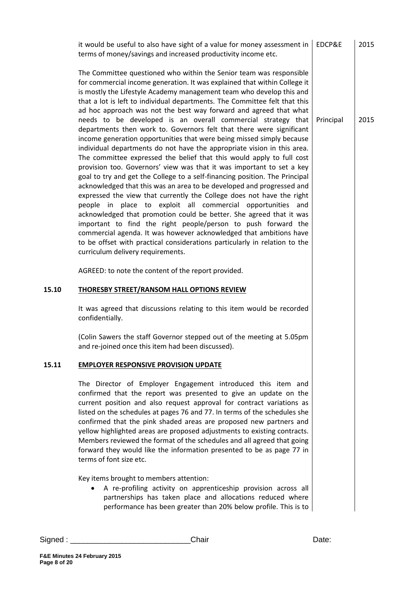|       | it would be useful to also have sight of a value for money assessment in<br>terms of money/savings and increased productivity income etc.                                                                                                                                                                                                                                                                                                                                                                                                                                                                                                                                                                                                                                                                                                                                                                                                                                                                                                                                                                                                                                                                                                                                                                                                                                                                                                                  | EDCP&E    | 2015 |
|-------|------------------------------------------------------------------------------------------------------------------------------------------------------------------------------------------------------------------------------------------------------------------------------------------------------------------------------------------------------------------------------------------------------------------------------------------------------------------------------------------------------------------------------------------------------------------------------------------------------------------------------------------------------------------------------------------------------------------------------------------------------------------------------------------------------------------------------------------------------------------------------------------------------------------------------------------------------------------------------------------------------------------------------------------------------------------------------------------------------------------------------------------------------------------------------------------------------------------------------------------------------------------------------------------------------------------------------------------------------------------------------------------------------------------------------------------------------------|-----------|------|
|       | The Committee questioned who within the Senior team was responsible<br>for commercial income generation. It was explained that within College it<br>is mostly the Lifestyle Academy management team who develop this and<br>that a lot is left to individual departments. The Committee felt that this<br>ad hoc approach was not the best way forward and agreed that what<br>needs to be developed is an overall commercial strategy that<br>departments then work to. Governors felt that there were significant<br>income generation opportunities that were being missed simply because<br>individual departments do not have the appropriate vision in this area.<br>The committee expressed the belief that this would apply to full cost<br>provision too. Governors' view was that it was important to set a key<br>goal to try and get the College to a self-financing position. The Principal<br>acknowledged that this was an area to be developed and progressed and<br>expressed the view that currently the College does not have the right<br>people in place to exploit all commercial opportunities and<br>acknowledged that promotion could be better. She agreed that it was<br>important to find the right people/person to push forward the<br>commercial agenda. It was however acknowledged that ambitions have<br>to be offset with practical considerations particularly in relation to the<br>curriculum delivery requirements. | Principal | 2015 |
|       | AGREED: to note the content of the report provided.                                                                                                                                                                                                                                                                                                                                                                                                                                                                                                                                                                                                                                                                                                                                                                                                                                                                                                                                                                                                                                                                                                                                                                                                                                                                                                                                                                                                        |           |      |
| 15.10 | <b>THORESBY STREET/RANSOM HALL OPTIONS REVIEW</b>                                                                                                                                                                                                                                                                                                                                                                                                                                                                                                                                                                                                                                                                                                                                                                                                                                                                                                                                                                                                                                                                                                                                                                                                                                                                                                                                                                                                          |           |      |
|       | It was agreed that discussions relating to this item would be recorded<br>confidentially.                                                                                                                                                                                                                                                                                                                                                                                                                                                                                                                                                                                                                                                                                                                                                                                                                                                                                                                                                                                                                                                                                                                                                                                                                                                                                                                                                                  |           |      |
|       | (Colin Sawers the staff Governor stepped out of the meeting at 5.05pm<br>and re-joined once this item had been discussed).                                                                                                                                                                                                                                                                                                                                                                                                                                                                                                                                                                                                                                                                                                                                                                                                                                                                                                                                                                                                                                                                                                                                                                                                                                                                                                                                 |           |      |
| 15.11 | <b>EMPLOYER RESPONSIVE PROVISION UPDATE</b>                                                                                                                                                                                                                                                                                                                                                                                                                                                                                                                                                                                                                                                                                                                                                                                                                                                                                                                                                                                                                                                                                                                                                                                                                                                                                                                                                                                                                |           |      |
|       | The Director of Employer Engagement introduced this item and<br>confirmed that the report was presented to give an update on the<br>current position and also request approval for contract variations as<br>listed on the schedules at pages 76 and 77. In terms of the schedules she<br>confirmed that the pink shaded areas are proposed new partners and<br>yellow highlighted areas are proposed adjustments to existing contracts.<br>Members reviewed the format of the schedules and all agreed that going<br>forward they would like the information presented to be as page 77 in<br>terms of font size etc.                                                                                                                                                                                                                                                                                                                                                                                                                                                                                                                                                                                                                                                                                                                                                                                                                                     |           |      |
|       | Key items brought to members attention:<br>A re-profiling activity on apprenticeship provision across all<br>partnerships has taken place and allocations reduced where<br>performance has been greater than 20% below profile. This is to                                                                                                                                                                                                                                                                                                                                                                                                                                                                                                                                                                                                                                                                                                                                                                                                                                                                                                                                                                                                                                                                                                                                                                                                                 |           |      |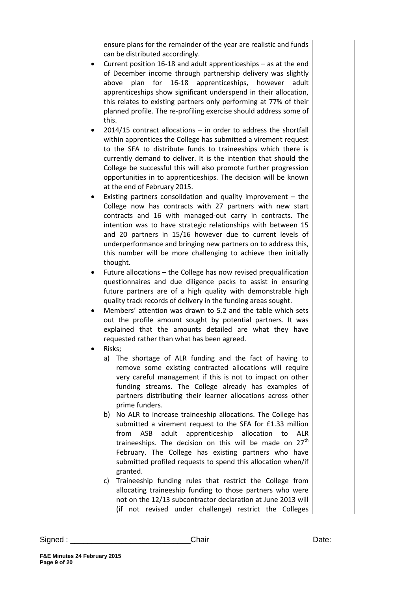ensure plans for the remainder of the year are realistic and funds can be distributed accordingly.

- Current position 16-18 and adult apprenticeships as at the end of December income through partnership delivery was slightly above plan for 16-18 apprenticeships, however adult apprenticeships show significant underspend in their allocation, this relates to existing partners only performing at 77% of their planned profile. The re-profiling exercise should address some of this.
- 2014/15 contract allocations in order to address the shortfall within apprentices the College has submitted a virement request to the SFA to distribute funds to traineeships which there is currently demand to deliver. It is the intention that should the College be successful this will also promote further progression opportunities in to apprenticeships. The decision will be known at the end of February 2015.
- Existing partners consolidation and quality improvement the College now has contracts with 27 partners with new start contracts and 16 with managed-out carry in contracts. The intention was to have strategic relationships with between 15 and 20 partners in 15/16 however due to current levels of underperformance and bringing new partners on to address this, this number will be more challenging to achieve then initially thought.
- Future allocations the College has now revised prequalification questionnaires and due diligence packs to assist in ensuring future partners are of a high quality with demonstrable high quality track records of delivery in the funding areas sought.
- Members' attention was drawn to 5.2 and the table which sets out the profile amount sought by potential partners. It was explained that the amounts detailed are what they have requested rather than what has been agreed.
- Risks;
	- a) The shortage of ALR funding and the fact of having to remove some existing contracted allocations will require very careful management if this is not to impact on other funding streams. The College already has examples of partners distributing their learner allocations across other prime funders.
	- b) No ALR to increase traineeship allocations. The College has submitted a virement request to the SFA for £1.33 million from ASB adult apprenticeship allocation to ALR traineeships. The decision on this will be made on  $27<sup>th</sup>$ February. The College has existing partners who have submitted profiled requests to spend this allocation when/if granted.
	- c) Traineeship funding rules that restrict the College from allocating traineeship funding to those partners who were not on the 12/13 subcontractor declaration at June 2013 will (if not revised under challenge) restrict the Colleges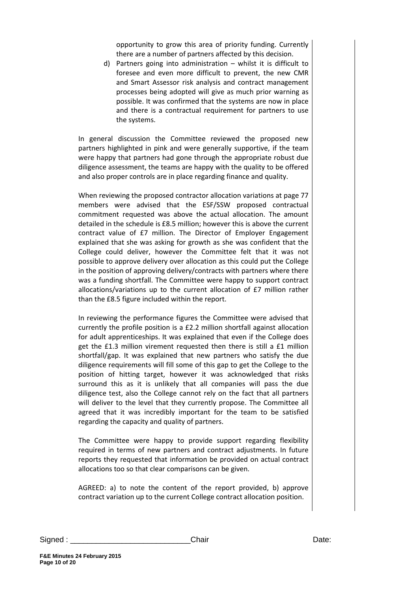opportunity to grow this area of priority funding. Currently there are a number of partners affected by this decision.

d) Partners going into administration – whilst it is difficult to foresee and even more difficult to prevent, the new CMR and Smart Assessor risk analysis and contract management processes being adopted will give as much prior warning as possible. It was confirmed that the systems are now in place and there is a contractual requirement for partners to use the systems.

In general discussion the Committee reviewed the proposed new partners highlighted in pink and were generally supportive, if the team were happy that partners had gone through the appropriate robust due diligence assessment, the teams are happy with the quality to be offered and also proper controls are in place regarding finance and quality.

When reviewing the proposed contractor allocation variations at page 77 members were advised that the ESF/SSW proposed contractual commitment requested was above the actual allocation. The amount detailed in the schedule is £8.5 million; however this is above the current contract value of £7 million. The Director of Employer Engagement explained that she was asking for growth as she was confident that the College could deliver, however the Committee felt that it was not possible to approve delivery over allocation as this could put the College in the position of approving delivery/contracts with partners where there was a funding shortfall. The Committee were happy to support contract allocations/variations up to the current allocation of £7 million rather than the £8.5 figure included within the report.

In reviewing the performance figures the Committee were advised that currently the profile position is a £2.2 million shortfall against allocation for adult apprenticeships. It was explained that even if the College does get the £1.3 million virement requested then there is still a £1 million shortfall/gap. It was explained that new partners who satisfy the due diligence requirements will fill some of this gap to get the College to the position of hitting target, however it was acknowledged that risks surround this as it is unlikely that all companies will pass the due diligence test, also the College cannot rely on the fact that all partners will deliver to the level that they currently propose. The Committee all agreed that it was incredibly important for the team to be satisfied regarding the capacity and quality of partners.

The Committee were happy to provide support regarding flexibility required in terms of new partners and contract adjustments. In future reports they requested that information be provided on actual contract allocations too so that clear comparisons can be given.

AGREED: a) to note the content of the report provided, b) approve contract variation up to the current College contract allocation position.

Signed : \_\_\_\_\_\_\_\_\_\_\_\_\_\_\_\_\_\_\_\_\_\_\_\_\_\_\_\_Chair Date: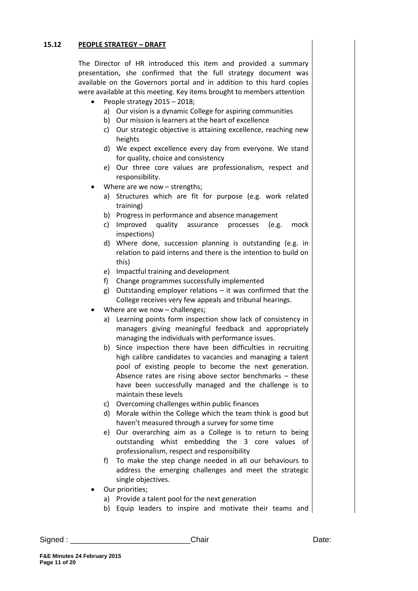# **15.12 PEOPLE STRATEGY – DRAFT**

The Director of HR introduced this item and provided a summary presentation, she confirmed that the full strategy document was available on the Governors portal and in addition to this hard copies were available at this meeting. Key items brought to members attention

- People strategy 2015 2018;
	- a) Our vision is a dynamic College for aspiring communities
	- b) Our mission is learners at the heart of excellence
	- c) Our strategic objective is attaining excellence, reaching new heights
	- d) We expect excellence every day from everyone. We stand for quality, choice and consistency
	- e) Our three core values are professionalism, respect and responsibility.
- Where are we now strengths;
	- a) Structures which are fit for purpose (e.g. work related training)
	- b) Progress in performance and absence management
	- c) Improved quality assurance processes (e.g. mock inspections)
	- d) Where done, succession planning is outstanding (e.g. in relation to paid interns and there is the intention to build on this)
	- e) Impactful training and development
	- f) Change programmes successfully implemented
	- g) Outstanding employer relations it was confirmed that the College receives very few appeals and tribunal hearings.
- Where are we now challenges;
	- a) Learning points form inspection show lack of consistency in managers giving meaningful feedback and appropriately managing the individuals with performance issues.
	- b) Since inspection there have been difficulties in recruiting high calibre candidates to vacancies and managing a talent pool of existing people to become the next generation. Absence rates are rising above sector benchmarks – these have been successfully managed and the challenge is to maintain these levels
	- c) Overcoming challenges within public finances
	- d) Morale within the College which the team think is good but haven't measured through a survey for some time
	- e) Our overarching aim as a College is to return to being outstanding whist embedding the 3 core values of professionalism, respect and responsibility
	- f) To make the step change needed in all our behaviours to address the emerging challenges and meet the strategic single objectives.
- Our priorities;
	- a) Provide a talent pool for the next generation
	- b) Equip leaders to inspire and motivate their teams and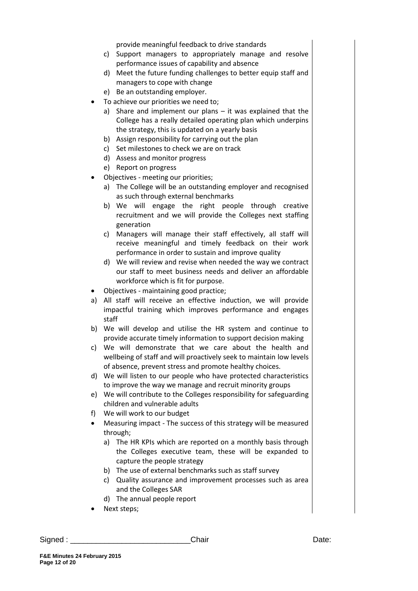provide meaningful feedback to drive standards

- c) Support managers to appropriately manage and resolve performance issues of capability and absence
- d) Meet the future funding challenges to better equip staff and managers to cope with change
- e) Be an outstanding employer.
- To achieve our priorities we need to;
	- a) Share and implement our plans it was explained that the College has a really detailed operating plan which underpins the strategy, this is updated on a yearly basis
	- b) Assign responsibility for carrying out the plan
	- c) Set milestones to check we are on track
	- d) Assess and monitor progress
	- e) Report on progress
- Objectives meeting our priorities;
	- a) The College will be an outstanding employer and recognised as such through external benchmarks
	- b) We will engage the right people through creative recruitment and we will provide the Colleges next staffing generation
	- c) Managers will manage their staff effectively, all staff will receive meaningful and timely feedback on their work performance in order to sustain and improve quality
	- d) We will review and revise when needed the way we contract our staff to meet business needs and deliver an affordable workforce which is fit for purpose.
- Objectives maintaining good practice;
- a) All staff will receive an effective induction, we will provide impactful training which improves performance and engages staff
- b) We will develop and utilise the HR system and continue to provide accurate timely information to support decision making
- c) We will demonstrate that we care about the health and wellbeing of staff and will proactively seek to maintain low levels of absence, prevent stress and promote healthy choices.
- d) We will listen to our people who have protected characteristics to improve the way we manage and recruit minority groups
- e) We will contribute to the Colleges responsibility for safeguarding children and vulnerable adults
- f) We will work to our budget
- Measuring impact The success of this strategy will be measured through;
	- a) The HR KPIs which are reported on a monthly basis through the Colleges executive team, these will be expanded to capture the people strategy
	- b) The use of external benchmarks such as staff survey
	- c) Quality assurance and improvement processes such as area and the Colleges SAR
	- d) The annual people report
- Next steps;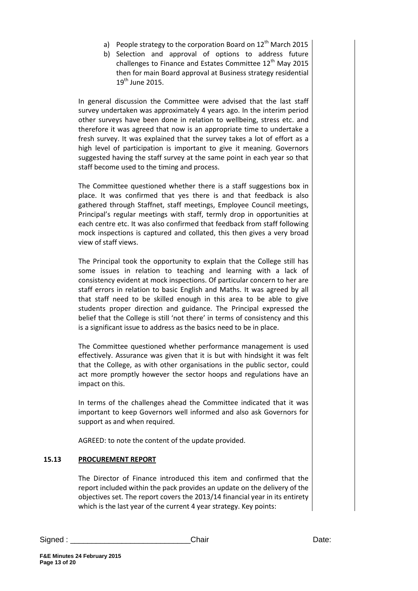- a) People strategy to the corporation Board on  $12<sup>th</sup>$  March 2015
- b) Selection and approval of options to address future challenges to Finance and Estates Committee  $12<sup>th</sup>$  May 2015 then for main Board approval at Business strategy residential  $19<sup>th</sup>$  June 2015.

In general discussion the Committee were advised that the last staff survey undertaken was approximately 4 years ago. In the interim period other surveys have been done in relation to wellbeing, stress etc. and therefore it was agreed that now is an appropriate time to undertake a fresh survey. It was explained that the survey takes a lot of effort as a high level of participation is important to give it meaning. Governors suggested having the staff survey at the same point in each year so that staff become used to the timing and process.

The Committee questioned whether there is a staff suggestions box in place. It was confirmed that yes there is and that feedback is also gathered through Staffnet, staff meetings, Employee Council meetings, Principal's regular meetings with staff, termly drop in opportunities at each centre etc. It was also confirmed that feedback from staff following mock inspections is captured and collated, this then gives a very broad view of staff views.

The Principal took the opportunity to explain that the College still has some issues in relation to teaching and learning with a lack of consistency evident at mock inspections. Of particular concern to her are staff errors in relation to basic English and Maths. It was agreed by all that staff need to be skilled enough in this area to be able to give students proper direction and guidance. The Principal expressed the belief that the College is still 'not there' in terms of consistency and this is a significant issue to address as the basics need to be in place.

The Committee questioned whether performance management is used effectively. Assurance was given that it is but with hindsight it was felt that the College, as with other organisations in the public sector, could act more promptly however the sector hoops and regulations have an impact on this.

In terms of the challenges ahead the Committee indicated that it was important to keep Governors well informed and also ask Governors for support as and when required.

AGREED: to note the content of the update provided.

# **15.13 PROCUREMENT REPORT**

The Director of Finance introduced this item and confirmed that the report included within the pack provides an update on the delivery of the objectives set. The report covers the 2013/14 financial year in its entirety which is the last year of the current 4 year strategy. Key points: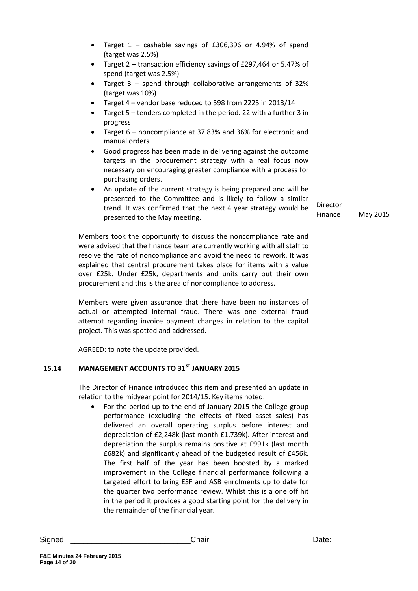|       | Target $1$ – cashable savings of £306,396 or 4.94% of spend<br>$\bullet$                                                                                                                                                                                                                                                                                                                                                                                                                                                                                                                                                                                                                                                                                                                                                                                                                                                                     |                     |          |
|-------|----------------------------------------------------------------------------------------------------------------------------------------------------------------------------------------------------------------------------------------------------------------------------------------------------------------------------------------------------------------------------------------------------------------------------------------------------------------------------------------------------------------------------------------------------------------------------------------------------------------------------------------------------------------------------------------------------------------------------------------------------------------------------------------------------------------------------------------------------------------------------------------------------------------------------------------------|---------------------|----------|
|       | (target was 2.5%)<br>Target 2 - transaction efficiency savings of £297,464 or 5.47% of<br>$\bullet$                                                                                                                                                                                                                                                                                                                                                                                                                                                                                                                                                                                                                                                                                                                                                                                                                                          |                     |          |
|       | spend (target was 2.5%)<br>Target $3$ – spend through collaborative arrangements of 32%<br>$\bullet$                                                                                                                                                                                                                                                                                                                                                                                                                                                                                                                                                                                                                                                                                                                                                                                                                                         |                     |          |
|       | (target was 10%)<br>Target 4 - vendor base reduced to 598 from 2225 in 2013/14<br>$\bullet$<br>Target 5 - tenders completed in the period. 22 with a further 3 in<br>$\bullet$                                                                                                                                                                                                                                                                                                                                                                                                                                                                                                                                                                                                                                                                                                                                                               |                     |          |
|       | progress                                                                                                                                                                                                                                                                                                                                                                                                                                                                                                                                                                                                                                                                                                                                                                                                                                                                                                                                     |                     |          |
|       | Target 6 – noncompliance at 37.83% and 36% for electronic and<br>$\bullet$<br>manual orders.                                                                                                                                                                                                                                                                                                                                                                                                                                                                                                                                                                                                                                                                                                                                                                                                                                                 |                     |          |
|       | Good progress has been made in delivering against the outcome<br>$\bullet$<br>targets in the procurement strategy with a real focus now<br>necessary on encouraging greater compliance with a process for<br>purchasing orders.                                                                                                                                                                                                                                                                                                                                                                                                                                                                                                                                                                                                                                                                                                              |                     |          |
|       | An update of the current strategy is being prepared and will be<br>$\bullet$<br>presented to the Committee and is likely to follow a similar<br>trend. It was confirmed that the next 4 year strategy would be<br>presented to the May meeting.                                                                                                                                                                                                                                                                                                                                                                                                                                                                                                                                                                                                                                                                                              | Director<br>Finance | May 2015 |
|       | Members took the opportunity to discuss the noncompliance rate and<br>were advised that the finance team are currently working with all staff to<br>resolve the rate of noncompliance and avoid the need to rework. It was<br>explained that central procurement takes place for items with a value<br>over £25k. Under £25k, departments and units carry out their own<br>procurement and this is the area of noncompliance to address.                                                                                                                                                                                                                                                                                                                                                                                                                                                                                                     |                     |          |
|       | Members were given assurance that there have been no instances of<br>actual or attempted internal fraud. There was one external fraud<br>attempt regarding invoice payment changes in relation to the capital<br>project. This was spotted and addressed.                                                                                                                                                                                                                                                                                                                                                                                                                                                                                                                                                                                                                                                                                    |                     |          |
|       | AGREED: to note the update provided.                                                                                                                                                                                                                                                                                                                                                                                                                                                                                                                                                                                                                                                                                                                                                                                                                                                                                                         |                     |          |
| 15.14 | MANAGEMENT ACCOUNTS TO 31ST JANUARY 2015                                                                                                                                                                                                                                                                                                                                                                                                                                                                                                                                                                                                                                                                                                                                                                                                                                                                                                     |                     |          |
|       | The Director of Finance introduced this item and presented an update in<br>relation to the midyear point for 2014/15. Key items noted:<br>For the period up to the end of January 2015 the College group<br>$\bullet$<br>performance (excluding the effects of fixed asset sales) has<br>delivered an overall operating surplus before interest and<br>depreciation of £2,248k (last month £1,739k). After interest and<br>depreciation the surplus remains positive at £991k (last month<br>£682k) and significantly ahead of the budgeted result of £456k.<br>The first half of the year has been boosted by a marked<br>improvement in the College financial performance following a<br>targeted effort to bring ESF and ASB enrolments up to date for<br>the quarter two performance review. Whilst this is a one off hit<br>in the period it provides a good starting point for the delivery in<br>the remainder of the financial year. |                     |          |
|       |                                                                                                                                                                                                                                                                                                                                                                                                                                                                                                                                                                                                                                                                                                                                                                                                                                                                                                                                              |                     |          |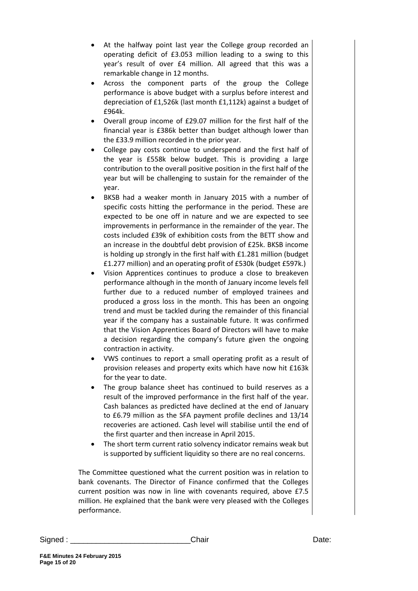- At the halfway point last year the College group recorded an operating deficit of £3.053 million leading to a swing to this year's result of over £4 million. All agreed that this was a remarkable change in 12 months.
- Across the component parts of the group the College performance is above budget with a surplus before interest and depreciation of £1,526k (last month £1,112k) against a budget of £964k.
- Overall group income of £29.07 million for the first half of the financial year is £386k better than budget although lower than the £33.9 million recorded in the prior year.
- College pay costs continue to underspend and the first half of the year is £558k below budget. This is providing a large contribution to the overall positive position in the first half of the year but will be challenging to sustain for the remainder of the year.
- BKSB had a weaker month in January 2015 with a number of specific costs hitting the performance in the period. These are expected to be one off in nature and we are expected to see improvements in performance in the remainder of the year. The costs included £39k of exhibition costs from the BETT show and an increase in the doubtful debt provision of £25k. BKSB income is holding up strongly in the first half with £1.281 million (budget £1.277 million) and an operating profit of £530k (budget £597k.)
- Vision Apprentices continues to produce a close to breakeven performance although in the month of January income levels fell further due to a reduced number of employed trainees and produced a gross loss in the month. This has been an ongoing trend and must be tackled during the remainder of this financial year if the company has a sustainable future. It was confirmed that the Vision Apprentices Board of Directors will have to make a decision regarding the company's future given the ongoing contraction in activity.
- VWS continues to report a small operating profit as a result of provision releases and property exits which have now hit £163k for the year to date.
- The group balance sheet has continued to build reserves as a result of the improved performance in the first half of the year. Cash balances as predicted have declined at the end of January to £6.79 million as the SFA payment profile declines and 13/14 recoveries are actioned. Cash level will stabilise until the end of the first quarter and then increase in April 2015.
- The short term current ratio solvency indicator remains weak but is supported by sufficient liquidity so there are no real concerns.

The Committee questioned what the current position was in relation to bank covenants. The Director of Finance confirmed that the Colleges current position was now in line with covenants required, above £7.5 million. He explained that the bank were very pleased with the Colleges performance.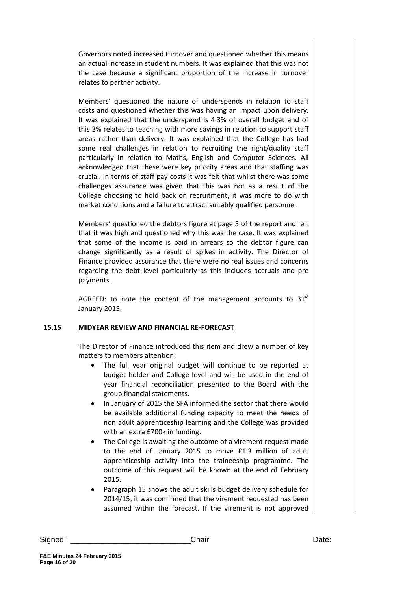Governors noted increased turnover and questioned whether this means an actual increase in student numbers. It was explained that this was not the case because a significant proportion of the increase in turnover relates to partner activity.

Members' questioned the nature of underspends in relation to staff costs and questioned whether this was having an impact upon delivery. It was explained that the underspend is 4.3% of overall budget and of this 3% relates to teaching with more savings in relation to support staff areas rather than delivery. It was explained that the College has had some real challenges in relation to recruiting the right/quality staff particularly in relation to Maths, English and Computer Sciences. All acknowledged that these were key priority areas and that staffing was crucial. In terms of staff pay costs it was felt that whilst there was some challenges assurance was given that this was not as a result of the College choosing to hold back on recruitment, it was more to do with market conditions and a failure to attract suitably qualified personnel.

Members' questioned the debtors figure at page 5 of the report and felt that it was high and questioned why this was the case. It was explained that some of the income is paid in arrears so the debtor figure can change significantly as a result of spikes in activity. The Director of Finance provided assurance that there were no real issues and concerns regarding the debt level particularly as this includes accruals and pre payments.

AGREED: to note the content of the management accounts to  $31^{st}$ January 2015.

# **15.15 MIDYEAR REVIEW AND FINANCIAL RE-FORECAST**

The Director of Finance introduced this item and drew a number of key matters to members attention:

- The full year original budget will continue to be reported at budget holder and College level and will be used in the end of year financial reconciliation presented to the Board with the group financial statements.
- In January of 2015 the SFA informed the sector that there would be available additional funding capacity to meet the needs of non adult apprenticeship learning and the College was provided with an extra £700k in funding.
- The College is awaiting the outcome of a virement request made to the end of January 2015 to move £1.3 million of adult apprenticeship activity into the traineeship programme. The outcome of this request will be known at the end of February 2015.
- Paragraph 15 shows the adult skills budget delivery schedule for 2014/15, it was confirmed that the virement requested has been assumed within the forecast. If the virement is not approved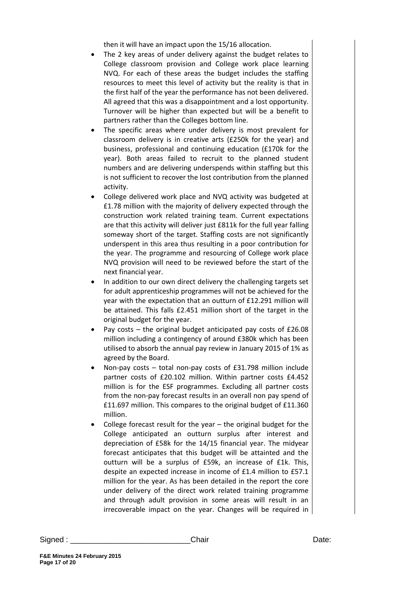then it will have an impact upon the 15/16 allocation.

- The 2 key areas of under delivery against the budget relates to College classroom provision and College work place learning NVQ. For each of these areas the budget includes the staffing resources to meet this level of activity but the reality is that in the first half of the year the performance has not been delivered. All agreed that this was a disappointment and a lost opportunity. Turnover will be higher than expected but will be a benefit to partners rather than the Colleges bottom line.
- The specific areas where under delivery is most prevalent for classroom delivery is in creative arts (£250k for the year) and business, professional and continuing education (£170k for the year). Both areas failed to recruit to the planned student numbers and are delivering underspends within staffing but this is not sufficient to recover the lost contribution from the planned activity.
- College delivered work place and NVQ activity was budgeted at £1.78 million with the majority of delivery expected through the construction work related training team. Current expectations are that this activity will deliver just £811k for the full year falling someway short of the target. Staffing costs are not significantly underspent in this area thus resulting in a poor contribution for the year. The programme and resourcing of College work place NVQ provision will need to be reviewed before the start of the next financial year.
- In addition to our own direct delivery the challenging targets set for adult apprenticeship programmes will not be achieved for the year with the expectation that an outturn of £12.291 million will be attained. This falls £2.451 million short of the target in the original budget for the year.
- Pay costs the original budget anticipated pay costs of £26.08 million including a contingency of around £380k which has been utilised to absorb the annual pay review in January 2015 of 1% as agreed by the Board.
- Non-pay costs total non-pay costs of £31.798 million include partner costs of £20.102 million. Within partner costs £4.452 million is for the ESF programmes. Excluding all partner costs from the non-pay forecast results in an overall non pay spend of £11.697 million. This compares to the original budget of £11.360 million.
- College forecast result for the year the original budget for the College anticipated an outturn surplus after interest and depreciation of £58k for the 14/15 financial year. The midyear forecast anticipates that this budget will be attainted and the outturn will be a surplus of £59k, an increase of £1k. This, despite an expected increase in income of £1.4 million to £57.1 million for the year. As has been detailed in the report the core under delivery of the direct work related training programme and through adult provision in some areas will result in an irrecoverable impact on the year. Changes will be required in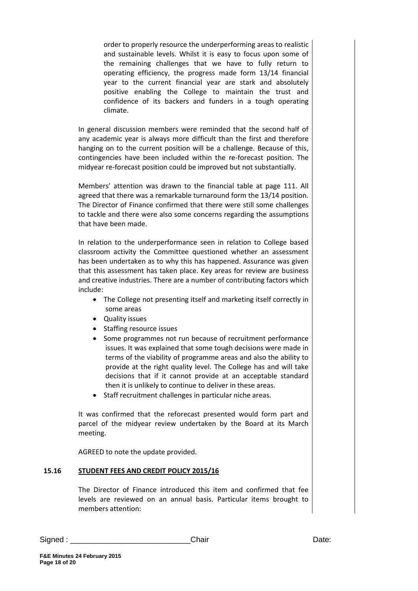order to properly resource the underperforming areas to realistic and sustainable levels. Whilst it is easy to focus upon some of the remaining challenges that we have to fully return to operating efficiency, the progress made form 13/14 financial year to the current financial year are stark and absolutely positive enabling the College to maintain the trust and confidence of its backers and funders in a tough operating climate.

In general discussion members were reminded that the second half of any academic year is always more difficult than the first and therefore hanging on to the current position will be a challenge. Because of this, contingencies have been included within the re-forecast position. The midyear re-forecast position could be improved but not substantially.

Members' attention was drawn to the financial table at page 111. All agreed that there was a remarkable turnaround form the 13/14 position. The Director of Finance confirmed that there were still some challenges to tackle and there were also some concerns regarding the assumptions that have been made.

In relation to the underperformance seen in relation to College based classroom activity the Committee questioned whether an assessment has been undertaken as to why this has happened. Assurance was given that this assessment has taken place. Key areas for review are business and creative industries. There are a number of contributing factors which include:

- The College not presenting itself and marketing itself correctly in some areas
- Quality issues
- Staffing resource issues
- Some programmes not run because of recruitment performance issues. It was explained that some tough decisions were made in terms of the viability of programme areas and also the ability to provide at the right quality level. The College has and will take decisions that if it cannot provide at an acceptable standard then it is unlikely to continue to deliver in these areas.
- Staff recruitment challenges in particular niche areas.

It was confirmed that the reforecast presented would form part and parcel of the midyear review undertaken by the Board at its March meeting.

AGREED to note the update provided.

# **15.16 STUDENT FEES AND CREDIT POLICY 2015/16**

The Director of Finance introduced this item and confirmed that fee levels are reviewed on an annual basis. Particular items brought to members attention: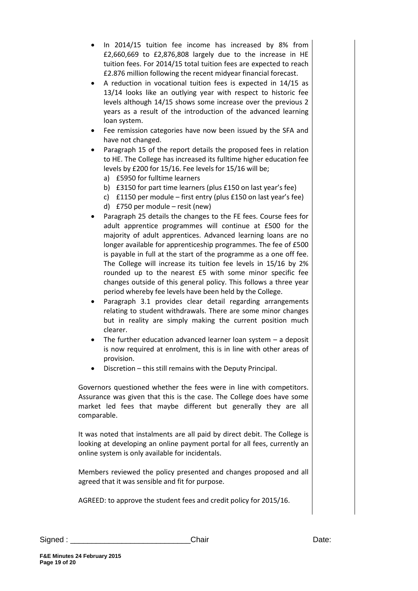- In 2014/15 tuition fee income has increased by 8% from £2,660,669 to £2,876,808 largely due to the increase in HE tuition fees. For 2014/15 total tuition fees are expected to reach £2.876 million following the recent midyear financial forecast.
- A reduction in vocational tuition fees is expected in 14/15 as 13/14 looks like an outlying year with respect to historic fee levels although 14/15 shows some increase over the previous 2 years as a result of the introduction of the advanced learning loan system.
- Fee remission categories have now been issued by the SFA and have not changed.
- Paragraph 15 of the report details the proposed fees in relation to HE. The College has increased its fulltime higher education fee levels by £200 for 15/16. Fee levels for 15/16 will be;
	- a) £5950 for fulltime learners
	- b) £3150 for part time learners (plus £150 on last year's fee)
	- c) £1150 per module first entry (plus £150 on last year's fee)
	- d) £750 per module resit (new)
- Paragraph 25 details the changes to the FE fees. Course fees for adult apprentice programmes will continue at £500 for the majority of adult apprentices. Advanced learning loans are no longer available for apprenticeship programmes. The fee of £500 is payable in full at the start of the programme as a one off fee. The College will increase its tuition fee levels in 15/16 by 2% rounded up to the nearest £5 with some minor specific fee changes outside of this general policy. This follows a three year period whereby fee levels have been held by the College.
- Paragraph 3.1 provides clear detail regarding arrangements relating to student withdrawals. There are some minor changes but in reality are simply making the current position much clearer.
- The further education advanced learner loan system  $-$  a deposit is now required at enrolment, this is in line with other areas of provision.
- Discretion this still remains with the Deputy Principal.

Governors questioned whether the fees were in line with competitors. Assurance was given that this is the case. The College does have some market led fees that maybe different but generally they are all comparable.

It was noted that instalments are all paid by direct debit. The College is looking at developing an online payment portal for all fees, currently an online system is only available for incidentals.

Members reviewed the policy presented and changes proposed and all agreed that it was sensible and fit for purpose.

AGREED: to approve the student fees and credit policy for 2015/16.